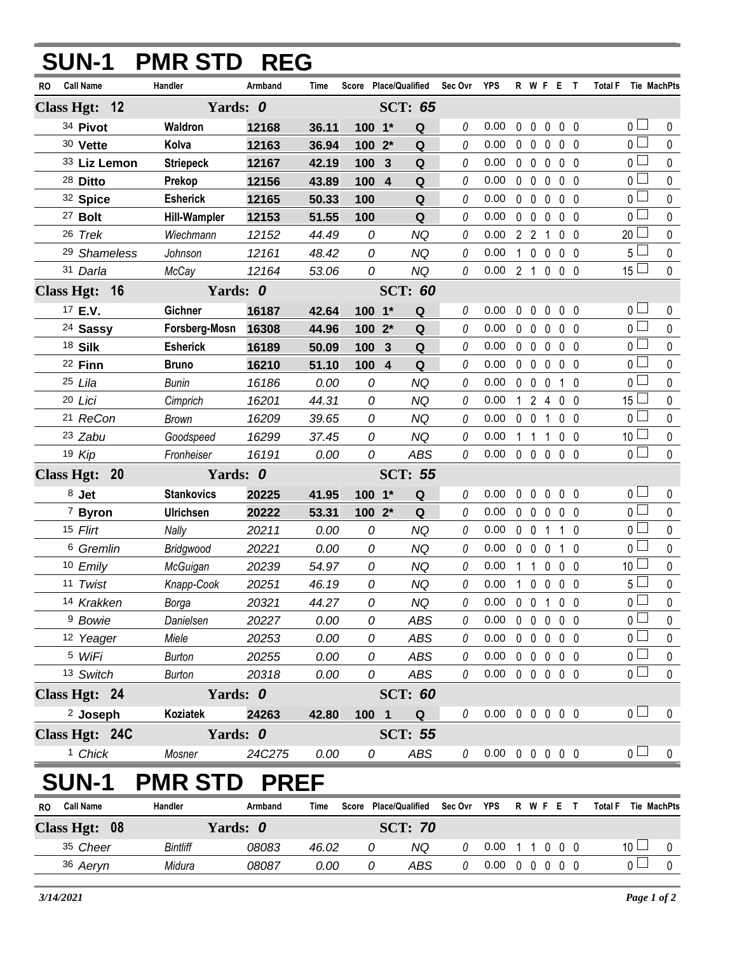| Armband<br><b>Call Name</b><br>Handler<br>Score Place/Qualified<br>Sec Ovr<br><b>YPS</b><br>R W F E T<br><b>Total F</b><br>Time<br>Tie MachPts<br>RO<br>Class Hgt: 12<br>Yards: 0<br><b>SCT: 65</b><br>34 Pivot<br>0 <sup>1</sup><br>Waldron<br>0<br>0.00<br>$\mathbf 0$<br>$\mathbf 0$<br>$\pmb{0}$<br>0 <sub>0</sub><br>12168<br>36.11<br>100 1*<br>Q<br>$\overline{0}$<br>30 Vette<br>Kolva<br>0.00<br>$0\quad 0$<br>0 <sub>0</sub><br>12163<br>100 2*<br>Q<br>0<br>$\mathbf{0}$<br>36.94<br>0 <sup>1</sup><br>0<br>0.00<br>$0\quad 0$<br>$\mathbf 0$<br>0 <sub>0</sub><br>33 Liz Lemon<br><b>Striepeck</b><br>100<br>Q<br>12167<br>42.19<br>3<br>$\overline{0}$<br>0.00<br>0<br>$0\quad 0$<br>$\mathbf 0$<br>0 <sub>0</sub><br>28 Ditto<br>Prekop<br>100 4<br>Q<br>12156<br>43.89<br><b>Esherick</b><br>0 <sup>1</sup><br>0<br>0.00<br>$0\quad 0$<br>32 Spice<br>Q<br>$\mathbf 0$<br>0 <sub>0</sub><br>12165<br>50.33<br>100<br>$\overline{0}$<br>0.00<br><sup>27</sup> Bolt<br><b>Hill-Wampler</b><br>0<br>$0\quad 0$<br>$\mathbf 0$<br>0 <sub>0</sub><br>51.55<br>100<br>Q<br>12153<br>20<br>26 Trek<br><b>NQ</b><br>0<br>0.00<br>2 <sub>2</sub><br>Wiechmann<br>12152<br>44.49<br>0<br>0 <sub>0</sub><br>1<br>0.00<br>$1\quad 0$<br>$5+$<br>0<br><b>NQ</b><br>0<br>$\mathbf 0$<br>0 <sub>0</sub><br><sup>29</sup> Shameless<br>Johnson<br>12161<br>48.42<br>$15\perp$<br>0<br>0<br>0.00<br>2 <sub>1</sub><br>31 Darla<br><b>NQ</b><br>$\mathbf 0$<br>0 <sub>0</sub><br>McCay<br>12164<br>53.06<br>Yards: 0<br><b>SCT: 60</b><br>Class Hgt: 16<br>$\overline{0}$<br>17 E.V.<br>Gichner<br>$\mathbf 0$<br>$\mathbf 0$<br>0 <sub>0</sub><br>16187<br>42.64<br>$100 - 1*$<br>Q<br>0.00<br>0<br>0<br>$0-$<br><sup>24</sup> Sassy<br>Forsberg-Mosn<br>16308<br>Q<br>0<br>0.00<br>$\mathbf 0$<br>$\mathbf 0$<br>0 <sub>0</sub><br>44.96<br>100 2*<br>$\mathbf{0}$<br>$\overline{0}$<br>18 Silk<br><b>Esherick</b><br>0.00<br>$0\quad 0$<br>0 <sub>0</sub><br>100 3<br>Q<br>0<br>$\mathbf{0}$<br>16189<br>50.09<br>$0-$<br>0<br>0.00<br>22 Finn<br>Q<br>$\mathbf 0$<br>$\mathbf 0$<br>$\mathbf 0$<br>0 <sub>0</sub><br><b>Bruno</b><br>16210<br>51.10<br>100 4<br>$\overline{0}$<br><b>NQ</b><br>25 Lila<br>16186<br>0<br>0<br>0.00<br>$\mathbf 0$<br>$\mathbf 0$<br><b>Bunin</b><br>0.00<br>$\mathbf 0$<br>$1\quad0$<br>$15\perp$<br>0<br><b>NQ</b><br>0.00<br>$1\quad2$<br>20 Lici<br>16201<br>44.31<br>0<br>0 <sub>0</sub><br>Cimprich<br>$\overline{4}$<br>$\overline{0}$<br><sup>21</sup> ReCon<br>0<br><b>NQ</b><br>0.00<br>$\overline{0}$<br>0 <sub>0</sub><br><b>Brown</b><br>16209<br>39.65<br>0<br>$\mathbf{0}$<br>1<br>10 <sup>1</sup><br>23 Zabu<br>0<br>0.00<br>Goodspeed<br>16299<br>0<br><b>NQ</b><br>1 <sub>1</sub><br>0 <sub>0</sub><br>37.45<br>1<br>$\overline{0}$<br>0<br>0.00<br>$0\quad 0$<br>19 Kip<br>Fronheiser<br>16191<br><b>ABS</b><br>0<br>$\mathbf 0$<br>0 <sub>0</sub><br>0.00<br><b>Class Hgt:</b><br>Yards: 0<br><b>SCT: 55</b><br>20<br>0 <sub>0</sub><br>$8$ Jet<br><b>Stankovics</b><br>20225<br>0<br>0.00<br>$\mathbf 0$<br>$\mathbf 0$<br>0 <sub>0</sub><br>41.95<br>100<br>$\mathbf{1}^*$<br>$\mathbf Q$<br>0<br>$\overline{0}$<br>100 2*<br>0.00<br><sup>7</sup> Byron<br><b>Ulrichsen</b><br>20222<br>Q<br>0<br>$\mathbf 0$<br>$\mathbf 0$<br>53.31<br>$\mathbf 0$<br>$0\quad 0$<br>0 <sup>1</sup><br>0.00<br>15 Flirt<br>Nally<br>20211<br>0<br><b>NQ</b><br>0<br>$0\quad 0$<br>0.00<br>1<br>$1\quad0$<br>$\overline{0}$<br>0.00<br>6 Gremlin<br>0<br><b>NQ</b><br>0<br>$\mathbf 0$<br>$\overline{0}$<br>$\mathbf 0$<br>$1\quad0$<br>Bridgwood<br>20221<br>0.00<br>10 <sup>1</sup><br>0<br>10 Emily<br>20239<br>54.97<br><b>NQ</b><br>$\theta$<br>0.00<br>1 <sub>1</sub><br>$\mathbf{0}$<br>0 <sub>0</sub><br>McGuigan<br>$5\overline{\Box}$<br>0<br>11 Twist<br><b>NQ</b><br>0.00<br>$\mathbf{1}$<br>$\mathbf 0$<br>$\mathbf 0$<br>0 <sub>0</sub><br>20251<br>46.19<br>0<br>Knapp-Cook<br>0 <sub>0</sub><br>14 Krakken<br>20321<br>44.27<br><b>NQ</b><br>0.00<br>$0\quad 0$<br>$\mathbf{1}$<br>0 <sub>0</sub><br>0<br>0<br>Borga<br>$\overline{0}$<br><sup>9</sup> Bowie<br>0.00<br>0.00<br>$0\quad 0$<br>0 <sub>0</sub><br>Danielsen<br>20227<br>0<br><b>ABS</b><br>0<br>$\mathbf 0$<br>0 <sup>1</sup><br>$0\quad 0$<br>12 Yeager<br>Miele<br>20253<br>0.00<br><b>ABS</b><br>0.00<br>$\pmb{0}$<br>$0\quad 0$<br>0<br>0<br>$\overline{0}$<br><sup>5</sup> WiFi<br><b>ABS</b><br>0.00<br>$0\quad 0$<br>0 <sub>0</sub><br><b>Burton</b><br>20255<br>0.00<br>0<br>$\mathbf 0$<br>0<br>0 <sub>0</sub><br>0.00<br>$0\quad 0\quad 0$<br>13 Switch<br>20318<br>0.00<br>0<br><b>ABS</b><br>0<br>0 <sub>0</sub><br><b>Burton</b><br>Class Hgt: 24<br>Yards: 0<br><b>SCT: 60</b><br>0 <sub>1</sub><br><sup>2</sup> Joseph<br>00000<br>Koziatek<br>24263<br>0.00<br>42.80<br>100 1<br>Q<br>0<br>Class Hgt: 24C<br>Yards: 0<br><b>SCT: 55</b><br>0 <sub>1</sub><br><sup>1</sup> Chick<br>Mosner<br>24C275<br>0.00<br>ABS<br>0<br>$0.00 \t0 \t0 \t0 \t0 \t0$<br>0<br><b>SUN-1</b><br><b>PREF</b><br><b>PMR STD</b><br>Handler<br>Score Place/Qualified<br><b>Call Name</b><br>Armband<br>Sec Ovr YPS<br>R W F E T<br>Total F Tie MachPts<br>Time<br>RO | <b>SUN-1</b> | <b>PMR STD REG</b> |  |  |  |  |  |  |              |
|-------------------------------------------------------------------------------------------------------------------------------------------------------------------------------------------------------------------------------------------------------------------------------------------------------------------------------------------------------------------------------------------------------------------------------------------------------------------------------------------------------------------------------------------------------------------------------------------------------------------------------------------------------------------------------------------------------------------------------------------------------------------------------------------------------------------------------------------------------------------------------------------------------------------------------------------------------------------------------------------------------------------------------------------------------------------------------------------------------------------------------------------------------------------------------------------------------------------------------------------------------------------------------------------------------------------------------------------------------------------------------------------------------------------------------------------------------------------------------------------------------------------------------------------------------------------------------------------------------------------------------------------------------------------------------------------------------------------------------------------------------------------------------------------------------------------------------------------------------------------------------------------------------------------------------------------------------------------------------------------------------------------------------------------------------------------------------------------------------------------------------------------------------------------------------------------------------------------------------------------------------------------------------------------------------------------------------------------------------------------------------------------------------------------------------------------------------------------------------------------------------------------------------------------------------------------------------------------------------------------------------------------------------------------------------------------------------------------------------------------------------------------------------------------------------------------------------------------------------------------------------------------------------------------------------------------------------------------------------------------------------------------------------------------------------------------------------------------------------------------------------------------------------------------------------------------------------------------------------------------------------------------------------------------------------------------------------------------------------------------------------------------------------------------------------------------------------------------------------------------------------------------------------------------------------------------------------------------------------------------------------------------------------------------------------------------------------------------------------------------------------------------------------------------------------------------------------------------------------------------------------------------------------------------------------------------------------------------------------------------------------------------------------------------------------------------------------------------------------------------------------------------------------------------------------------------------------------------------------------------------------------------------------------------------------------------------------------------------------------------------------------------------------------------------------------------------------------------------------------------------------------------------------------------------------------------------------------------------------------------------------------------------------------------------------------------------------------------------------------------------------------------------------------------------------------------------------------------------------------------------------------------------------------------------------------------------------------------------------------------------------------------------------------------------------------------------------------------------------------------------------------------------------------------------------------|--------------|--------------------|--|--|--|--|--|--|--------------|
|                                                                                                                                                                                                                                                                                                                                                                                                                                                                                                                                                                                                                                                                                                                                                                                                                                                                                                                                                                                                                                                                                                                                                                                                                                                                                                                                                                                                                                                                                                                                                                                                                                                                                                                                                                                                                                                                                                                                                                                                                                                                                                                                                                                                                                                                                                                                                                                                                                                                                                                                                                                                                                                                                                                                                                                                                                                                                                                                                                                                                                                                                                                                                                                                                                                                                                                                                                                                                                                                                                                                                                                                                                                                                                                                                                                                                                                                                                                                                                                                                                                                                                                                                                                                                                                                                                                                                                                                                                                                                                                                                                                                                                                                                                                                                                                                                                                                                                                                                                                                                                                                                                                                                                                     |              |                    |  |  |  |  |  |  |              |
|                                                                                                                                                                                                                                                                                                                                                                                                                                                                                                                                                                                                                                                                                                                                                                                                                                                                                                                                                                                                                                                                                                                                                                                                                                                                                                                                                                                                                                                                                                                                                                                                                                                                                                                                                                                                                                                                                                                                                                                                                                                                                                                                                                                                                                                                                                                                                                                                                                                                                                                                                                                                                                                                                                                                                                                                                                                                                                                                                                                                                                                                                                                                                                                                                                                                                                                                                                                                                                                                                                                                                                                                                                                                                                                                                                                                                                                                                                                                                                                                                                                                                                                                                                                                                                                                                                                                                                                                                                                                                                                                                                                                                                                                                                                                                                                                                                                                                                                                                                                                                                                                                                                                                                                     |              |                    |  |  |  |  |  |  |              |
|                                                                                                                                                                                                                                                                                                                                                                                                                                                                                                                                                                                                                                                                                                                                                                                                                                                                                                                                                                                                                                                                                                                                                                                                                                                                                                                                                                                                                                                                                                                                                                                                                                                                                                                                                                                                                                                                                                                                                                                                                                                                                                                                                                                                                                                                                                                                                                                                                                                                                                                                                                                                                                                                                                                                                                                                                                                                                                                                                                                                                                                                                                                                                                                                                                                                                                                                                                                                                                                                                                                                                                                                                                                                                                                                                                                                                                                                                                                                                                                                                                                                                                                                                                                                                                                                                                                                                                                                                                                                                                                                                                                                                                                                                                                                                                                                                                                                                                                                                                                                                                                                                                                                                                                     |              |                    |  |  |  |  |  |  | $\mathbf 0$  |
|                                                                                                                                                                                                                                                                                                                                                                                                                                                                                                                                                                                                                                                                                                                                                                                                                                                                                                                                                                                                                                                                                                                                                                                                                                                                                                                                                                                                                                                                                                                                                                                                                                                                                                                                                                                                                                                                                                                                                                                                                                                                                                                                                                                                                                                                                                                                                                                                                                                                                                                                                                                                                                                                                                                                                                                                                                                                                                                                                                                                                                                                                                                                                                                                                                                                                                                                                                                                                                                                                                                                                                                                                                                                                                                                                                                                                                                                                                                                                                                                                                                                                                                                                                                                                                                                                                                                                                                                                                                                                                                                                                                                                                                                                                                                                                                                                                                                                                                                                                                                                                                                                                                                                                                     |              |                    |  |  |  |  |  |  | 0            |
|                                                                                                                                                                                                                                                                                                                                                                                                                                                                                                                                                                                                                                                                                                                                                                                                                                                                                                                                                                                                                                                                                                                                                                                                                                                                                                                                                                                                                                                                                                                                                                                                                                                                                                                                                                                                                                                                                                                                                                                                                                                                                                                                                                                                                                                                                                                                                                                                                                                                                                                                                                                                                                                                                                                                                                                                                                                                                                                                                                                                                                                                                                                                                                                                                                                                                                                                                                                                                                                                                                                                                                                                                                                                                                                                                                                                                                                                                                                                                                                                                                                                                                                                                                                                                                                                                                                                                                                                                                                                                                                                                                                                                                                                                                                                                                                                                                                                                                                                                                                                                                                                                                                                                                                     |              |                    |  |  |  |  |  |  | $\pmb{0}$    |
|                                                                                                                                                                                                                                                                                                                                                                                                                                                                                                                                                                                                                                                                                                                                                                                                                                                                                                                                                                                                                                                                                                                                                                                                                                                                                                                                                                                                                                                                                                                                                                                                                                                                                                                                                                                                                                                                                                                                                                                                                                                                                                                                                                                                                                                                                                                                                                                                                                                                                                                                                                                                                                                                                                                                                                                                                                                                                                                                                                                                                                                                                                                                                                                                                                                                                                                                                                                                                                                                                                                                                                                                                                                                                                                                                                                                                                                                                                                                                                                                                                                                                                                                                                                                                                                                                                                                                                                                                                                                                                                                                                                                                                                                                                                                                                                                                                                                                                                                                                                                                                                                                                                                                                                     |              |                    |  |  |  |  |  |  | 0            |
|                                                                                                                                                                                                                                                                                                                                                                                                                                                                                                                                                                                                                                                                                                                                                                                                                                                                                                                                                                                                                                                                                                                                                                                                                                                                                                                                                                                                                                                                                                                                                                                                                                                                                                                                                                                                                                                                                                                                                                                                                                                                                                                                                                                                                                                                                                                                                                                                                                                                                                                                                                                                                                                                                                                                                                                                                                                                                                                                                                                                                                                                                                                                                                                                                                                                                                                                                                                                                                                                                                                                                                                                                                                                                                                                                                                                                                                                                                                                                                                                                                                                                                                                                                                                                                                                                                                                                                                                                                                                                                                                                                                                                                                                                                                                                                                                                                                                                                                                                                                                                                                                                                                                                                                     |              |                    |  |  |  |  |  |  | $\mathbf 0$  |
|                                                                                                                                                                                                                                                                                                                                                                                                                                                                                                                                                                                                                                                                                                                                                                                                                                                                                                                                                                                                                                                                                                                                                                                                                                                                                                                                                                                                                                                                                                                                                                                                                                                                                                                                                                                                                                                                                                                                                                                                                                                                                                                                                                                                                                                                                                                                                                                                                                                                                                                                                                                                                                                                                                                                                                                                                                                                                                                                                                                                                                                                                                                                                                                                                                                                                                                                                                                                                                                                                                                                                                                                                                                                                                                                                                                                                                                                                                                                                                                                                                                                                                                                                                                                                                                                                                                                                                                                                                                                                                                                                                                                                                                                                                                                                                                                                                                                                                                                                                                                                                                                                                                                                                                     |              |                    |  |  |  |  |  |  | 0            |
|                                                                                                                                                                                                                                                                                                                                                                                                                                                                                                                                                                                                                                                                                                                                                                                                                                                                                                                                                                                                                                                                                                                                                                                                                                                                                                                                                                                                                                                                                                                                                                                                                                                                                                                                                                                                                                                                                                                                                                                                                                                                                                                                                                                                                                                                                                                                                                                                                                                                                                                                                                                                                                                                                                                                                                                                                                                                                                                                                                                                                                                                                                                                                                                                                                                                                                                                                                                                                                                                                                                                                                                                                                                                                                                                                                                                                                                                                                                                                                                                                                                                                                                                                                                                                                                                                                                                                                                                                                                                                                                                                                                                                                                                                                                                                                                                                                                                                                                                                                                                                                                                                                                                                                                     |              |                    |  |  |  |  |  |  | 0            |
|                                                                                                                                                                                                                                                                                                                                                                                                                                                                                                                                                                                                                                                                                                                                                                                                                                                                                                                                                                                                                                                                                                                                                                                                                                                                                                                                                                                                                                                                                                                                                                                                                                                                                                                                                                                                                                                                                                                                                                                                                                                                                                                                                                                                                                                                                                                                                                                                                                                                                                                                                                                                                                                                                                                                                                                                                                                                                                                                                                                                                                                                                                                                                                                                                                                                                                                                                                                                                                                                                                                                                                                                                                                                                                                                                                                                                                                                                                                                                                                                                                                                                                                                                                                                                                                                                                                                                                                                                                                                                                                                                                                                                                                                                                                                                                                                                                                                                                                                                                                                                                                                                                                                                                                     |              |                    |  |  |  |  |  |  | 0            |
|                                                                                                                                                                                                                                                                                                                                                                                                                                                                                                                                                                                                                                                                                                                                                                                                                                                                                                                                                                                                                                                                                                                                                                                                                                                                                                                                                                                                                                                                                                                                                                                                                                                                                                                                                                                                                                                                                                                                                                                                                                                                                                                                                                                                                                                                                                                                                                                                                                                                                                                                                                                                                                                                                                                                                                                                                                                                                                                                                                                                                                                                                                                                                                                                                                                                                                                                                                                                                                                                                                                                                                                                                                                                                                                                                                                                                                                                                                                                                                                                                                                                                                                                                                                                                                                                                                                                                                                                                                                                                                                                                                                                                                                                                                                                                                                                                                                                                                                                                                                                                                                                                                                                                                                     |              |                    |  |  |  |  |  |  | $\mathbf{0}$ |
|                                                                                                                                                                                                                                                                                                                                                                                                                                                                                                                                                                                                                                                                                                                                                                                                                                                                                                                                                                                                                                                                                                                                                                                                                                                                                                                                                                                                                                                                                                                                                                                                                                                                                                                                                                                                                                                                                                                                                                                                                                                                                                                                                                                                                                                                                                                                                                                                                                                                                                                                                                                                                                                                                                                                                                                                                                                                                                                                                                                                                                                                                                                                                                                                                                                                                                                                                                                                                                                                                                                                                                                                                                                                                                                                                                                                                                                                                                                                                                                                                                                                                                                                                                                                                                                                                                                                                                                                                                                                                                                                                                                                                                                                                                                                                                                                                                                                                                                                                                                                                                                                                                                                                                                     |              |                    |  |  |  |  |  |  |              |
|                                                                                                                                                                                                                                                                                                                                                                                                                                                                                                                                                                                                                                                                                                                                                                                                                                                                                                                                                                                                                                                                                                                                                                                                                                                                                                                                                                                                                                                                                                                                                                                                                                                                                                                                                                                                                                                                                                                                                                                                                                                                                                                                                                                                                                                                                                                                                                                                                                                                                                                                                                                                                                                                                                                                                                                                                                                                                                                                                                                                                                                                                                                                                                                                                                                                                                                                                                                                                                                                                                                                                                                                                                                                                                                                                                                                                                                                                                                                                                                                                                                                                                                                                                                                                                                                                                                                                                                                                                                                                                                                                                                                                                                                                                                                                                                                                                                                                                                                                                                                                                                                                                                                                                                     |              |                    |  |  |  |  |  |  | 0            |
|                                                                                                                                                                                                                                                                                                                                                                                                                                                                                                                                                                                                                                                                                                                                                                                                                                                                                                                                                                                                                                                                                                                                                                                                                                                                                                                                                                                                                                                                                                                                                                                                                                                                                                                                                                                                                                                                                                                                                                                                                                                                                                                                                                                                                                                                                                                                                                                                                                                                                                                                                                                                                                                                                                                                                                                                                                                                                                                                                                                                                                                                                                                                                                                                                                                                                                                                                                                                                                                                                                                                                                                                                                                                                                                                                                                                                                                                                                                                                                                                                                                                                                                                                                                                                                                                                                                                                                                                                                                                                                                                                                                                                                                                                                                                                                                                                                                                                                                                                                                                                                                                                                                                                                                     |              |                    |  |  |  |  |  |  | $\mathbf 0$  |
|                                                                                                                                                                                                                                                                                                                                                                                                                                                                                                                                                                                                                                                                                                                                                                                                                                                                                                                                                                                                                                                                                                                                                                                                                                                                                                                                                                                                                                                                                                                                                                                                                                                                                                                                                                                                                                                                                                                                                                                                                                                                                                                                                                                                                                                                                                                                                                                                                                                                                                                                                                                                                                                                                                                                                                                                                                                                                                                                                                                                                                                                                                                                                                                                                                                                                                                                                                                                                                                                                                                                                                                                                                                                                                                                                                                                                                                                                                                                                                                                                                                                                                                                                                                                                                                                                                                                                                                                                                                                                                                                                                                                                                                                                                                                                                                                                                                                                                                                                                                                                                                                                                                                                                                     |              |                    |  |  |  |  |  |  | 0            |
|                                                                                                                                                                                                                                                                                                                                                                                                                                                                                                                                                                                                                                                                                                                                                                                                                                                                                                                                                                                                                                                                                                                                                                                                                                                                                                                                                                                                                                                                                                                                                                                                                                                                                                                                                                                                                                                                                                                                                                                                                                                                                                                                                                                                                                                                                                                                                                                                                                                                                                                                                                                                                                                                                                                                                                                                                                                                                                                                                                                                                                                                                                                                                                                                                                                                                                                                                                                                                                                                                                                                                                                                                                                                                                                                                                                                                                                                                                                                                                                                                                                                                                                                                                                                                                                                                                                                                                                                                                                                                                                                                                                                                                                                                                                                                                                                                                                                                                                                                                                                                                                                                                                                                                                     |              |                    |  |  |  |  |  |  | 0            |
|                                                                                                                                                                                                                                                                                                                                                                                                                                                                                                                                                                                                                                                                                                                                                                                                                                                                                                                                                                                                                                                                                                                                                                                                                                                                                                                                                                                                                                                                                                                                                                                                                                                                                                                                                                                                                                                                                                                                                                                                                                                                                                                                                                                                                                                                                                                                                                                                                                                                                                                                                                                                                                                                                                                                                                                                                                                                                                                                                                                                                                                                                                                                                                                                                                                                                                                                                                                                                                                                                                                                                                                                                                                                                                                                                                                                                                                                                                                                                                                                                                                                                                                                                                                                                                                                                                                                                                                                                                                                                                                                                                                                                                                                                                                                                                                                                                                                                                                                                                                                                                                                                                                                                                                     |              |                    |  |  |  |  |  |  | $\mathbf 0$  |
|                                                                                                                                                                                                                                                                                                                                                                                                                                                                                                                                                                                                                                                                                                                                                                                                                                                                                                                                                                                                                                                                                                                                                                                                                                                                                                                                                                                                                                                                                                                                                                                                                                                                                                                                                                                                                                                                                                                                                                                                                                                                                                                                                                                                                                                                                                                                                                                                                                                                                                                                                                                                                                                                                                                                                                                                                                                                                                                                                                                                                                                                                                                                                                                                                                                                                                                                                                                                                                                                                                                                                                                                                                                                                                                                                                                                                                                                                                                                                                                                                                                                                                                                                                                                                                                                                                                                                                                                                                                                                                                                                                                                                                                                                                                                                                                                                                                                                                                                                                                                                                                                                                                                                                                     |              |                    |  |  |  |  |  |  | 0            |
|                                                                                                                                                                                                                                                                                                                                                                                                                                                                                                                                                                                                                                                                                                                                                                                                                                                                                                                                                                                                                                                                                                                                                                                                                                                                                                                                                                                                                                                                                                                                                                                                                                                                                                                                                                                                                                                                                                                                                                                                                                                                                                                                                                                                                                                                                                                                                                                                                                                                                                                                                                                                                                                                                                                                                                                                                                                                                                                                                                                                                                                                                                                                                                                                                                                                                                                                                                                                                                                                                                                                                                                                                                                                                                                                                                                                                                                                                                                                                                                                                                                                                                                                                                                                                                                                                                                                                                                                                                                                                                                                                                                                                                                                                                                                                                                                                                                                                                                                                                                                                                                                                                                                                                                     |              |                    |  |  |  |  |  |  | 0            |
|                                                                                                                                                                                                                                                                                                                                                                                                                                                                                                                                                                                                                                                                                                                                                                                                                                                                                                                                                                                                                                                                                                                                                                                                                                                                                                                                                                                                                                                                                                                                                                                                                                                                                                                                                                                                                                                                                                                                                                                                                                                                                                                                                                                                                                                                                                                                                                                                                                                                                                                                                                                                                                                                                                                                                                                                                                                                                                                                                                                                                                                                                                                                                                                                                                                                                                                                                                                                                                                                                                                                                                                                                                                                                                                                                                                                                                                                                                                                                                                                                                                                                                                                                                                                                                                                                                                                                                                                                                                                                                                                                                                                                                                                                                                                                                                                                                                                                                                                                                                                                                                                                                                                                                                     |              |                    |  |  |  |  |  |  | $\pmb{0}$    |
|                                                                                                                                                                                                                                                                                                                                                                                                                                                                                                                                                                                                                                                                                                                                                                                                                                                                                                                                                                                                                                                                                                                                                                                                                                                                                                                                                                                                                                                                                                                                                                                                                                                                                                                                                                                                                                                                                                                                                                                                                                                                                                                                                                                                                                                                                                                                                                                                                                                                                                                                                                                                                                                                                                                                                                                                                                                                                                                                                                                                                                                                                                                                                                                                                                                                                                                                                                                                                                                                                                                                                                                                                                                                                                                                                                                                                                                                                                                                                                                                                                                                                                                                                                                                                                                                                                                                                                                                                                                                                                                                                                                                                                                                                                                                                                                                                                                                                                                                                                                                                                                                                                                                                                                     |              |                    |  |  |  |  |  |  | $\mathbf 0$  |
|                                                                                                                                                                                                                                                                                                                                                                                                                                                                                                                                                                                                                                                                                                                                                                                                                                                                                                                                                                                                                                                                                                                                                                                                                                                                                                                                                                                                                                                                                                                                                                                                                                                                                                                                                                                                                                                                                                                                                                                                                                                                                                                                                                                                                                                                                                                                                                                                                                                                                                                                                                                                                                                                                                                                                                                                                                                                                                                                                                                                                                                                                                                                                                                                                                                                                                                                                                                                                                                                                                                                                                                                                                                                                                                                                                                                                                                                                                                                                                                                                                                                                                                                                                                                                                                                                                                                                                                                                                                                                                                                                                                                                                                                                                                                                                                                                                                                                                                                                                                                                                                                                                                                                                                     |              |                    |  |  |  |  |  |  |              |
|                                                                                                                                                                                                                                                                                                                                                                                                                                                                                                                                                                                                                                                                                                                                                                                                                                                                                                                                                                                                                                                                                                                                                                                                                                                                                                                                                                                                                                                                                                                                                                                                                                                                                                                                                                                                                                                                                                                                                                                                                                                                                                                                                                                                                                                                                                                                                                                                                                                                                                                                                                                                                                                                                                                                                                                                                                                                                                                                                                                                                                                                                                                                                                                                                                                                                                                                                                                                                                                                                                                                                                                                                                                                                                                                                                                                                                                                                                                                                                                                                                                                                                                                                                                                                                                                                                                                                                                                                                                                                                                                                                                                                                                                                                                                                                                                                                                                                                                                                                                                                                                                                                                                                                                     |              |                    |  |  |  |  |  |  | $\mathbf 0$  |
|                                                                                                                                                                                                                                                                                                                                                                                                                                                                                                                                                                                                                                                                                                                                                                                                                                                                                                                                                                                                                                                                                                                                                                                                                                                                                                                                                                                                                                                                                                                                                                                                                                                                                                                                                                                                                                                                                                                                                                                                                                                                                                                                                                                                                                                                                                                                                                                                                                                                                                                                                                                                                                                                                                                                                                                                                                                                                                                                                                                                                                                                                                                                                                                                                                                                                                                                                                                                                                                                                                                                                                                                                                                                                                                                                                                                                                                                                                                                                                                                                                                                                                                                                                                                                                                                                                                                                                                                                                                                                                                                                                                                                                                                                                                                                                                                                                                                                                                                                                                                                                                                                                                                                                                     |              |                    |  |  |  |  |  |  | $\pmb{0}$    |
|                                                                                                                                                                                                                                                                                                                                                                                                                                                                                                                                                                                                                                                                                                                                                                                                                                                                                                                                                                                                                                                                                                                                                                                                                                                                                                                                                                                                                                                                                                                                                                                                                                                                                                                                                                                                                                                                                                                                                                                                                                                                                                                                                                                                                                                                                                                                                                                                                                                                                                                                                                                                                                                                                                                                                                                                                                                                                                                                                                                                                                                                                                                                                                                                                                                                                                                                                                                                                                                                                                                                                                                                                                                                                                                                                                                                                                                                                                                                                                                                                                                                                                                                                                                                                                                                                                                                                                                                                                                                                                                                                                                                                                                                                                                                                                                                                                                                                                                                                                                                                                                                                                                                                                                     |              |                    |  |  |  |  |  |  | $\pmb{0}$    |
|                                                                                                                                                                                                                                                                                                                                                                                                                                                                                                                                                                                                                                                                                                                                                                                                                                                                                                                                                                                                                                                                                                                                                                                                                                                                                                                                                                                                                                                                                                                                                                                                                                                                                                                                                                                                                                                                                                                                                                                                                                                                                                                                                                                                                                                                                                                                                                                                                                                                                                                                                                                                                                                                                                                                                                                                                                                                                                                                                                                                                                                                                                                                                                                                                                                                                                                                                                                                                                                                                                                                                                                                                                                                                                                                                                                                                                                                                                                                                                                                                                                                                                                                                                                                                                                                                                                                                                                                                                                                                                                                                                                                                                                                                                                                                                                                                                                                                                                                                                                                                                                                                                                                                                                     |              |                    |  |  |  |  |  |  | $\pmb{0}$    |
|                                                                                                                                                                                                                                                                                                                                                                                                                                                                                                                                                                                                                                                                                                                                                                                                                                                                                                                                                                                                                                                                                                                                                                                                                                                                                                                                                                                                                                                                                                                                                                                                                                                                                                                                                                                                                                                                                                                                                                                                                                                                                                                                                                                                                                                                                                                                                                                                                                                                                                                                                                                                                                                                                                                                                                                                                                                                                                                                                                                                                                                                                                                                                                                                                                                                                                                                                                                                                                                                                                                                                                                                                                                                                                                                                                                                                                                                                                                                                                                                                                                                                                                                                                                                                                                                                                                                                                                                                                                                                                                                                                                                                                                                                                                                                                                                                                                                                                                                                                                                                                                                                                                                                                                     |              |                    |  |  |  |  |  |  | $\pmb{0}$    |
|                                                                                                                                                                                                                                                                                                                                                                                                                                                                                                                                                                                                                                                                                                                                                                                                                                                                                                                                                                                                                                                                                                                                                                                                                                                                                                                                                                                                                                                                                                                                                                                                                                                                                                                                                                                                                                                                                                                                                                                                                                                                                                                                                                                                                                                                                                                                                                                                                                                                                                                                                                                                                                                                                                                                                                                                                                                                                                                                                                                                                                                                                                                                                                                                                                                                                                                                                                                                                                                                                                                                                                                                                                                                                                                                                                                                                                                                                                                                                                                                                                                                                                                                                                                                                                                                                                                                                                                                                                                                                                                                                                                                                                                                                                                                                                                                                                                                                                                                                                                                                                                                                                                                                                                     |              |                    |  |  |  |  |  |  | $\pmb{0}$    |
|                                                                                                                                                                                                                                                                                                                                                                                                                                                                                                                                                                                                                                                                                                                                                                                                                                                                                                                                                                                                                                                                                                                                                                                                                                                                                                                                                                                                                                                                                                                                                                                                                                                                                                                                                                                                                                                                                                                                                                                                                                                                                                                                                                                                                                                                                                                                                                                                                                                                                                                                                                                                                                                                                                                                                                                                                                                                                                                                                                                                                                                                                                                                                                                                                                                                                                                                                                                                                                                                                                                                                                                                                                                                                                                                                                                                                                                                                                                                                                                                                                                                                                                                                                                                                                                                                                                                                                                                                                                                                                                                                                                                                                                                                                                                                                                                                                                                                                                                                                                                                                                                                                                                                                                     |              |                    |  |  |  |  |  |  | 0            |
|                                                                                                                                                                                                                                                                                                                                                                                                                                                                                                                                                                                                                                                                                                                                                                                                                                                                                                                                                                                                                                                                                                                                                                                                                                                                                                                                                                                                                                                                                                                                                                                                                                                                                                                                                                                                                                                                                                                                                                                                                                                                                                                                                                                                                                                                                                                                                                                                                                                                                                                                                                                                                                                                                                                                                                                                                                                                                                                                                                                                                                                                                                                                                                                                                                                                                                                                                                                                                                                                                                                                                                                                                                                                                                                                                                                                                                                                                                                                                                                                                                                                                                                                                                                                                                                                                                                                                                                                                                                                                                                                                                                                                                                                                                                                                                                                                                                                                                                                                                                                                                                                                                                                                                                     |              |                    |  |  |  |  |  |  | 0            |
|                                                                                                                                                                                                                                                                                                                                                                                                                                                                                                                                                                                                                                                                                                                                                                                                                                                                                                                                                                                                                                                                                                                                                                                                                                                                                                                                                                                                                                                                                                                                                                                                                                                                                                                                                                                                                                                                                                                                                                                                                                                                                                                                                                                                                                                                                                                                                                                                                                                                                                                                                                                                                                                                                                                                                                                                                                                                                                                                                                                                                                                                                                                                                                                                                                                                                                                                                                                                                                                                                                                                                                                                                                                                                                                                                                                                                                                                                                                                                                                                                                                                                                                                                                                                                                                                                                                                                                                                                                                                                                                                                                                                                                                                                                                                                                                                                                                                                                                                                                                                                                                                                                                                                                                     |              |                    |  |  |  |  |  |  | 0            |
|                                                                                                                                                                                                                                                                                                                                                                                                                                                                                                                                                                                                                                                                                                                                                                                                                                                                                                                                                                                                                                                                                                                                                                                                                                                                                                                                                                                                                                                                                                                                                                                                                                                                                                                                                                                                                                                                                                                                                                                                                                                                                                                                                                                                                                                                                                                                                                                                                                                                                                                                                                                                                                                                                                                                                                                                                                                                                                                                                                                                                                                                                                                                                                                                                                                                                                                                                                                                                                                                                                                                                                                                                                                                                                                                                                                                                                                                                                                                                                                                                                                                                                                                                                                                                                                                                                                                                                                                                                                                                                                                                                                                                                                                                                                                                                                                                                                                                                                                                                                                                                                                                                                                                                                     |              |                    |  |  |  |  |  |  | 0            |
|                                                                                                                                                                                                                                                                                                                                                                                                                                                                                                                                                                                                                                                                                                                                                                                                                                                                                                                                                                                                                                                                                                                                                                                                                                                                                                                                                                                                                                                                                                                                                                                                                                                                                                                                                                                                                                                                                                                                                                                                                                                                                                                                                                                                                                                                                                                                                                                                                                                                                                                                                                                                                                                                                                                                                                                                                                                                                                                                                                                                                                                                                                                                                                                                                                                                                                                                                                                                                                                                                                                                                                                                                                                                                                                                                                                                                                                                                                                                                                                                                                                                                                                                                                                                                                                                                                                                                                                                                                                                                                                                                                                                                                                                                                                                                                                                                                                                                                                                                                                                                                                                                                                                                                                     |              |                    |  |  |  |  |  |  | 0            |
|                                                                                                                                                                                                                                                                                                                                                                                                                                                                                                                                                                                                                                                                                                                                                                                                                                                                                                                                                                                                                                                                                                                                                                                                                                                                                                                                                                                                                                                                                                                                                                                                                                                                                                                                                                                                                                                                                                                                                                                                                                                                                                                                                                                                                                                                                                                                                                                                                                                                                                                                                                                                                                                                                                                                                                                                                                                                                                                                                                                                                                                                                                                                                                                                                                                                                                                                                                                                                                                                                                                                                                                                                                                                                                                                                                                                                                                                                                                                                                                                                                                                                                                                                                                                                                                                                                                                                                                                                                                                                                                                                                                                                                                                                                                                                                                                                                                                                                                                                                                                                                                                                                                                                                                     |              |                    |  |  |  |  |  |  |              |
|                                                                                                                                                                                                                                                                                                                                                                                                                                                                                                                                                                                                                                                                                                                                                                                                                                                                                                                                                                                                                                                                                                                                                                                                                                                                                                                                                                                                                                                                                                                                                                                                                                                                                                                                                                                                                                                                                                                                                                                                                                                                                                                                                                                                                                                                                                                                                                                                                                                                                                                                                                                                                                                                                                                                                                                                                                                                                                                                                                                                                                                                                                                                                                                                                                                                                                                                                                                                                                                                                                                                                                                                                                                                                                                                                                                                                                                                                                                                                                                                                                                                                                                                                                                                                                                                                                                                                                                                                                                                                                                                                                                                                                                                                                                                                                                                                                                                                                                                                                                                                                                                                                                                                                                     |              |                    |  |  |  |  |  |  | 0            |
|                                                                                                                                                                                                                                                                                                                                                                                                                                                                                                                                                                                                                                                                                                                                                                                                                                                                                                                                                                                                                                                                                                                                                                                                                                                                                                                                                                                                                                                                                                                                                                                                                                                                                                                                                                                                                                                                                                                                                                                                                                                                                                                                                                                                                                                                                                                                                                                                                                                                                                                                                                                                                                                                                                                                                                                                                                                                                                                                                                                                                                                                                                                                                                                                                                                                                                                                                                                                                                                                                                                                                                                                                                                                                                                                                                                                                                                                                                                                                                                                                                                                                                                                                                                                                                                                                                                                                                                                                                                                                                                                                                                                                                                                                                                                                                                                                                                                                                                                                                                                                                                                                                                                                                                     |              |                    |  |  |  |  |  |  |              |
|                                                                                                                                                                                                                                                                                                                                                                                                                                                                                                                                                                                                                                                                                                                                                                                                                                                                                                                                                                                                                                                                                                                                                                                                                                                                                                                                                                                                                                                                                                                                                                                                                                                                                                                                                                                                                                                                                                                                                                                                                                                                                                                                                                                                                                                                                                                                                                                                                                                                                                                                                                                                                                                                                                                                                                                                                                                                                                                                                                                                                                                                                                                                                                                                                                                                                                                                                                                                                                                                                                                                                                                                                                                                                                                                                                                                                                                                                                                                                                                                                                                                                                                                                                                                                                                                                                                                                                                                                                                                                                                                                                                                                                                                                                                                                                                                                                                                                                                                                                                                                                                                                                                                                                                     |              |                    |  |  |  |  |  |  | 0            |
|                                                                                                                                                                                                                                                                                                                                                                                                                                                                                                                                                                                                                                                                                                                                                                                                                                                                                                                                                                                                                                                                                                                                                                                                                                                                                                                                                                                                                                                                                                                                                                                                                                                                                                                                                                                                                                                                                                                                                                                                                                                                                                                                                                                                                                                                                                                                                                                                                                                                                                                                                                                                                                                                                                                                                                                                                                                                                                                                                                                                                                                                                                                                                                                                                                                                                                                                                                                                                                                                                                                                                                                                                                                                                                                                                                                                                                                                                                                                                                                                                                                                                                                                                                                                                                                                                                                                                                                                                                                                                                                                                                                                                                                                                                                                                                                                                                                                                                                                                                                                                                                                                                                                                                                     |              |                    |  |  |  |  |  |  |              |
|                                                                                                                                                                                                                                                                                                                                                                                                                                                                                                                                                                                                                                                                                                                                                                                                                                                                                                                                                                                                                                                                                                                                                                                                                                                                                                                                                                                                                                                                                                                                                                                                                                                                                                                                                                                                                                                                                                                                                                                                                                                                                                                                                                                                                                                                                                                                                                                                                                                                                                                                                                                                                                                                                                                                                                                                                                                                                                                                                                                                                                                                                                                                                                                                                                                                                                                                                                                                                                                                                                                                                                                                                                                                                                                                                                                                                                                                                                                                                                                                                                                                                                                                                                                                                                                                                                                                                                                                                                                                                                                                                                                                                                                                                                                                                                                                                                                                                                                                                                                                                                                                                                                                                                                     |              |                    |  |  |  |  |  |  |              |

| πv | van name                | ,,,,,,,,,,, | AUDULU             | טוווי | <b>UUUL</b> | ו וטטק שטטווופט | <b>UGU UVI</b> | .        | $\mathbf{v}$ |  | . |        | TIG MAGILLO |
|----|-------------------------|-------------|--------------------|-------|-------------|-----------------|----------------|----------|--------------|--|---|--------|-------------|
|    | <b>Class Hgt:</b><br>08 |             | <b>Yards:</b><br>O |       |             | SCT:<br>70      |                |          |              |  |   |        |             |
|    | 35 Cheer                | Bintliff    | 08083              | 46.02 |             | NQ              |                | 0.00     |              |  |   | $10 -$ |             |
|    | 36 Aeryn                | Midura      | 08087              | 0.00  |             | ABS             |                | $0.00\,$ |              |  |   |        |             |